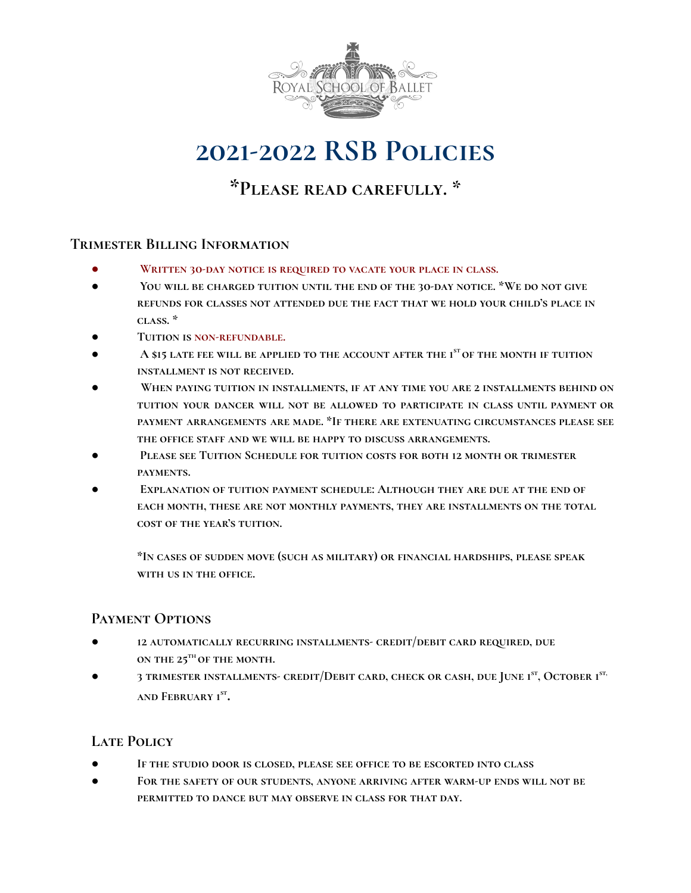

# **2021-2022 RSB Policies**

**\*Please read carefully. \***

# **Trimester Billing Information**

- **Written 30-day notice is required to vacate your place in class.**
- **You will be charged tuition until the end of the 30-day notice. \*We do not give refunds for classes not attended due the fact that we hold your child's place in class. \***
- **● Tuition is non-refundable.**
- **A \$15 late fee will be applied to the account after the 1 stof the month if tuition installment is not received.**
- **When paying tuition in installments, if at any time you are 2 installments behind on tuition your dancer will not be allowed to participate in class until payment or payment arrangements are made. \*If there are extenuating circumstances please see the office staff and we will be happy to discuss arrangements.**
- **Please see Tuition Schedule for tuition costs for both 12 month or trimester payments.**
- **Explanation of tuition payment schedule: Although they are due at the end of each month, these are not monthly payments, they are installments on the total cost of the year's tuition.**

**\*In cases of sudden move (such as military) or financial hardships, please speak with us in the office.**

## **Payment Options**

- **● 12 automatically recurring installments- credit/debit card required, due on the 25 th of the month.**
- **● 3 trimester installments- credit/Debit card, check or cash, due June 1 st , October 1 st, and February 1 st .**

## **Late Policy**

- **● If the studio door is closed, please see office to be escorted into class**
- **● For the safety of our students, anyone arriving after warm-up ends will not be permitted to dance but may observe in class for that day.**